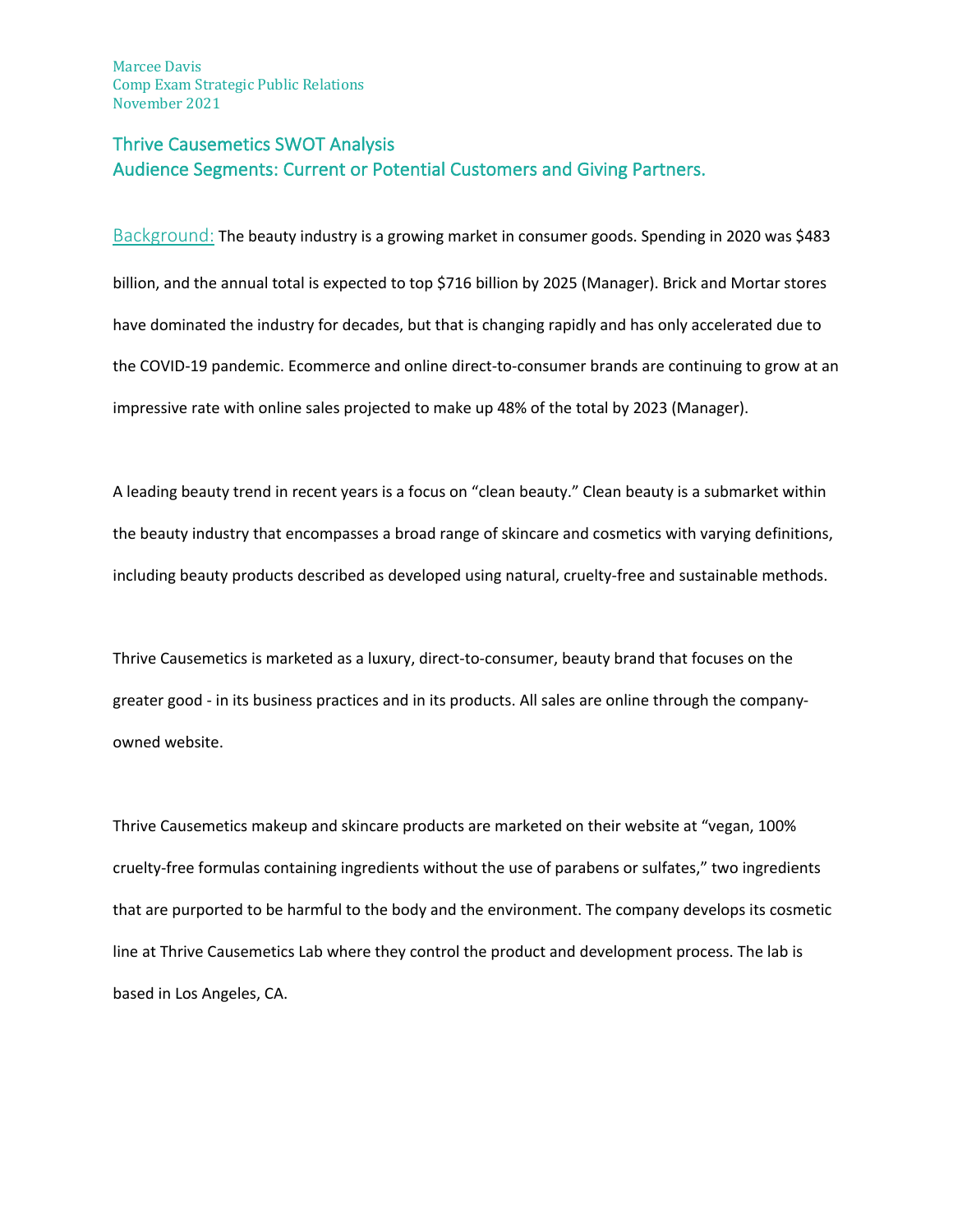# Thrive Causemetics SWOT Analysis Audience Segments: Current or Potential Customers and Giving Partners.

Background: The beauty industry is a growing market in consumer goods. Spending in 2020 was \$483 billion, and the annual total is expected to top \$716 billion by 2025 (Manager). Brick and Mortar stores have dominated the industry for decades, but that is changing rapidly and has only accelerated due to the COVID-19 pandemic. Ecommerce and online direct-to-consumer brands are continuing to grow at an impressive rate with online sales projected to make up 48% of the total by 2023 (Manager).

A leading beauty trend in recent years is a focus on "clean beauty." Clean beauty is a submarket within the beauty industry that encompasses a broad range of skincare and cosmetics with varying definitions, including beauty products described as developed using natural, cruelty-free and sustainable methods.

Thrive Causemetics is marketed as a luxury, direct-to-consumer, beauty brand that focuses on the greater good - in its business practices and in its products. All sales are online through the companyowned website.

Thrive Causemetics makeup and skincare products are marketed on their website at "vegan, 100% cruelty-free formulas containing ingredients without the use of parabens or sulfates," two ingredients that are purported to be harmful to the body and the environment. The company develops its cosmetic line at Thrive Causemetics Lab where they control the product and development process. The lab is based in Los Angeles, CA.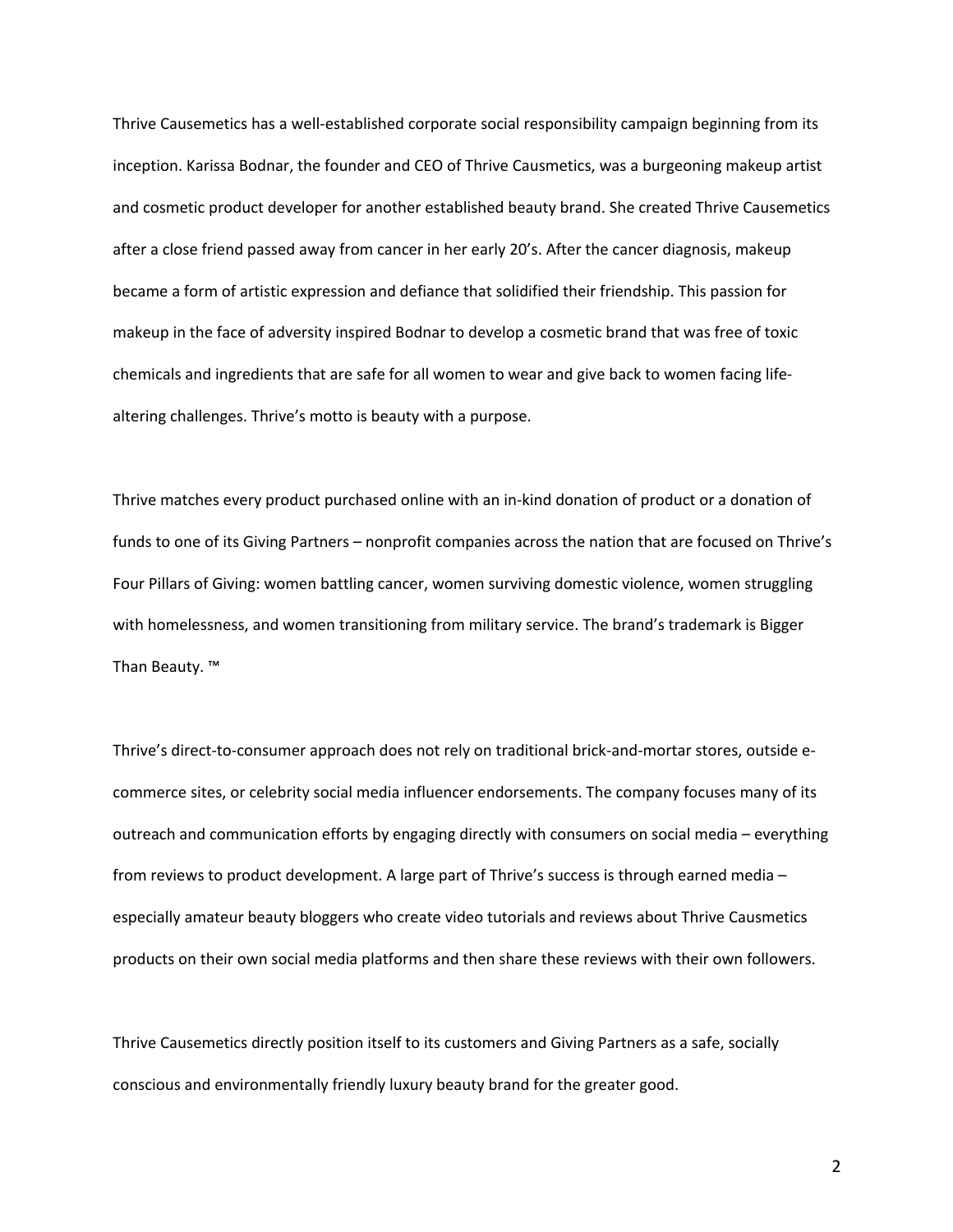Thrive Causemetics has a well-established corporate social responsibility campaign beginning from its inception. Karissa Bodnar, the founder and CEO of Thrive Causmetics, was a burgeoning makeup artist and cosmetic product developer for another established beauty brand. She created Thrive Causemetics after a close friend passed away from cancer in her early 20's. After the cancer diagnosis, makeup became a form of artistic expression and defiance that solidified their friendship. This passion for makeup in the face of adversity inspired Bodnar to develop a cosmetic brand that was free of toxic chemicals and ingredients that are safe for all women to wear and give back to women facing lifealtering challenges. Thrive's motto is beauty with a purpose.

Thrive matches every product purchased online with an in-kind donation of product or a donation of funds to one of its Giving Partners – nonprofit companies across the nation that are focused on Thrive's Four Pillars of Giving: women battling cancer, women surviving domestic violence, women struggling with homelessness, and women transitioning from military service. The brand's trademark is Bigger Than Beauty. ™

Thrive's direct-to-consumer approach does not rely on traditional brick-and-mortar stores, outside ecommerce sites, or celebrity social media influencer endorsements. The company focuses many of its outreach and communication efforts by engaging directly with consumers on social media – everything from reviews to product development. A large part of Thrive's success is through earned media – especially amateur beauty bloggers who create video tutorials and reviews about Thrive Causmetics products on their own social media platforms and then share these reviews with their own followers.

Thrive Causemetics directly position itself to its customers and Giving Partners as a safe, socially conscious and environmentally friendly luxury beauty brand for the greater good.

2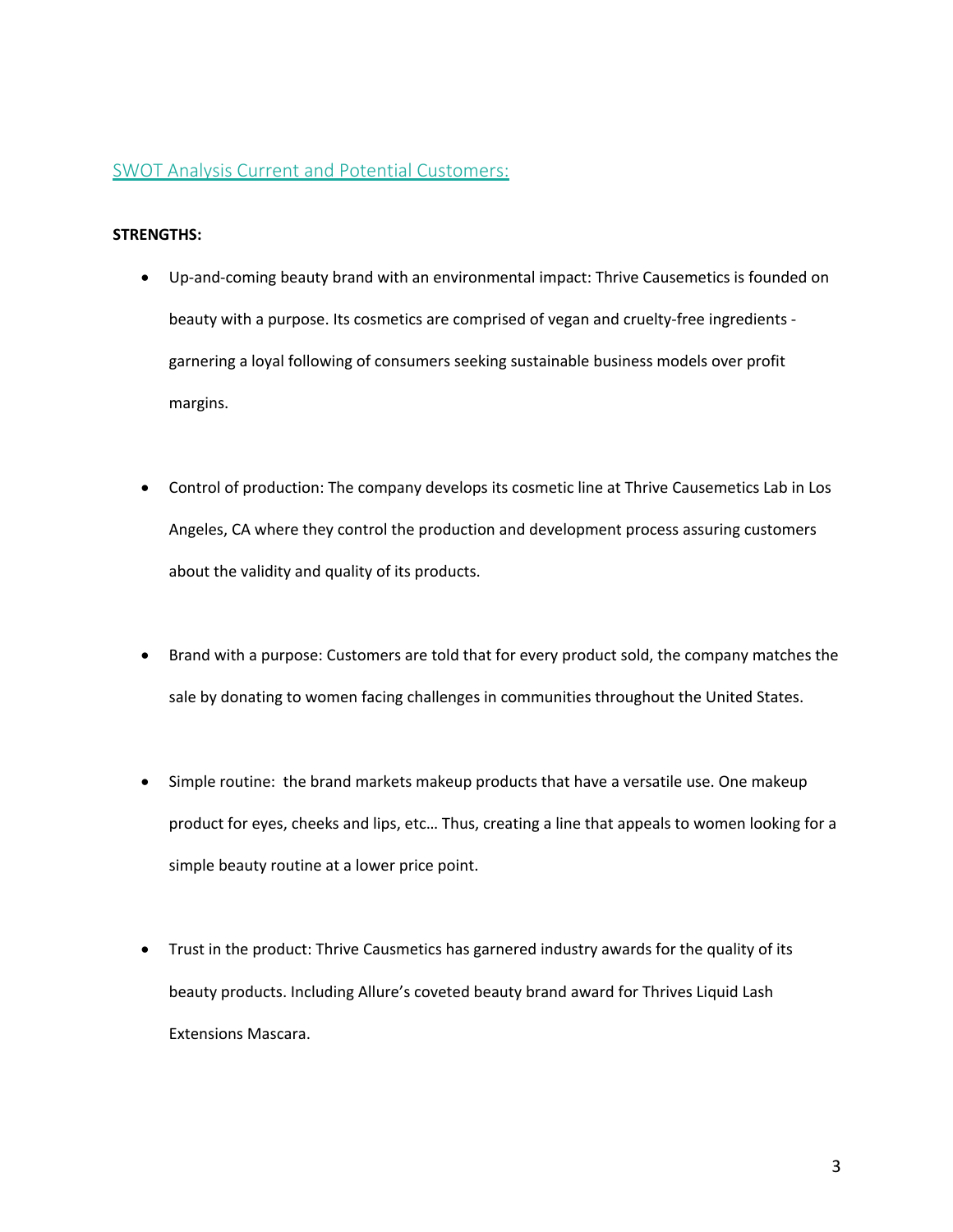### SWOT Analysis Current and Potential Customers:

### **STRENGTHS:**

- Up-and-coming beauty brand with an environmental impact: Thrive Causemetics is founded on beauty with a purpose. Its cosmetics are comprised of vegan and cruelty-free ingredients garnering a loyal following of consumers seeking sustainable business models over profit margins.
- Control of production: The company develops its cosmetic line at Thrive Causemetics Lab in Los Angeles, CA where they control the production and development process assuring customers about the validity and quality of its products.
- Brand with a purpose: Customers are told that for every product sold, the company matches the sale by donating to women facing challenges in communities throughout the United States.
- Simple routine: the brand markets makeup products that have a versatile use. One makeup product for eyes, cheeks and lips, etc… Thus, creating a line that appeals to women looking for a simple beauty routine at a lower price point.
- Trust in the product: Thrive Causmetics has garnered industry awards for the quality of its beauty products. Including Allure's coveted beauty brand award for Thrives Liquid Lash Extensions Mascara.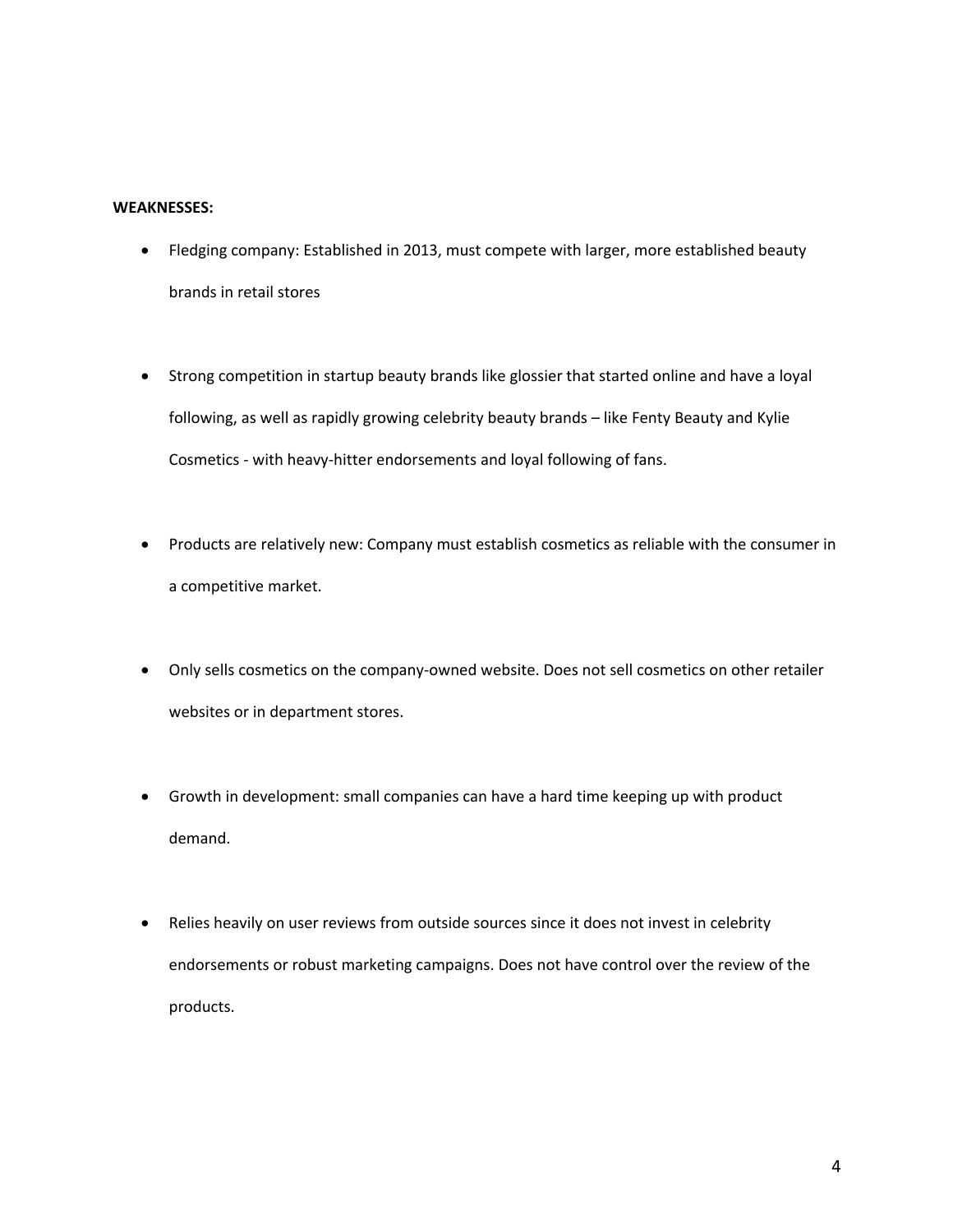### **WEAKNESSES:**

- Fledging company: Established in 2013, must compete with larger, more established beauty brands in retail stores
- Strong competition in startup beauty brands like glossier that started online and have a loyal following, as well as rapidly growing celebrity beauty brands – like Fenty Beauty and Kylie Cosmetics - with heavy-hitter endorsements and loyal following of fans.
- Products are relatively new: Company must establish cosmetics as reliable with the consumer in a competitive market.
- Only sells cosmetics on the company-owned website. Does not sell cosmetics on other retailer websites or in department stores.
- Growth in development: small companies can have a hard time keeping up with product demand.
- Relies heavily on user reviews from outside sources since it does not invest in celebrity endorsements or robust marketing campaigns. Does not have control over the review of the products.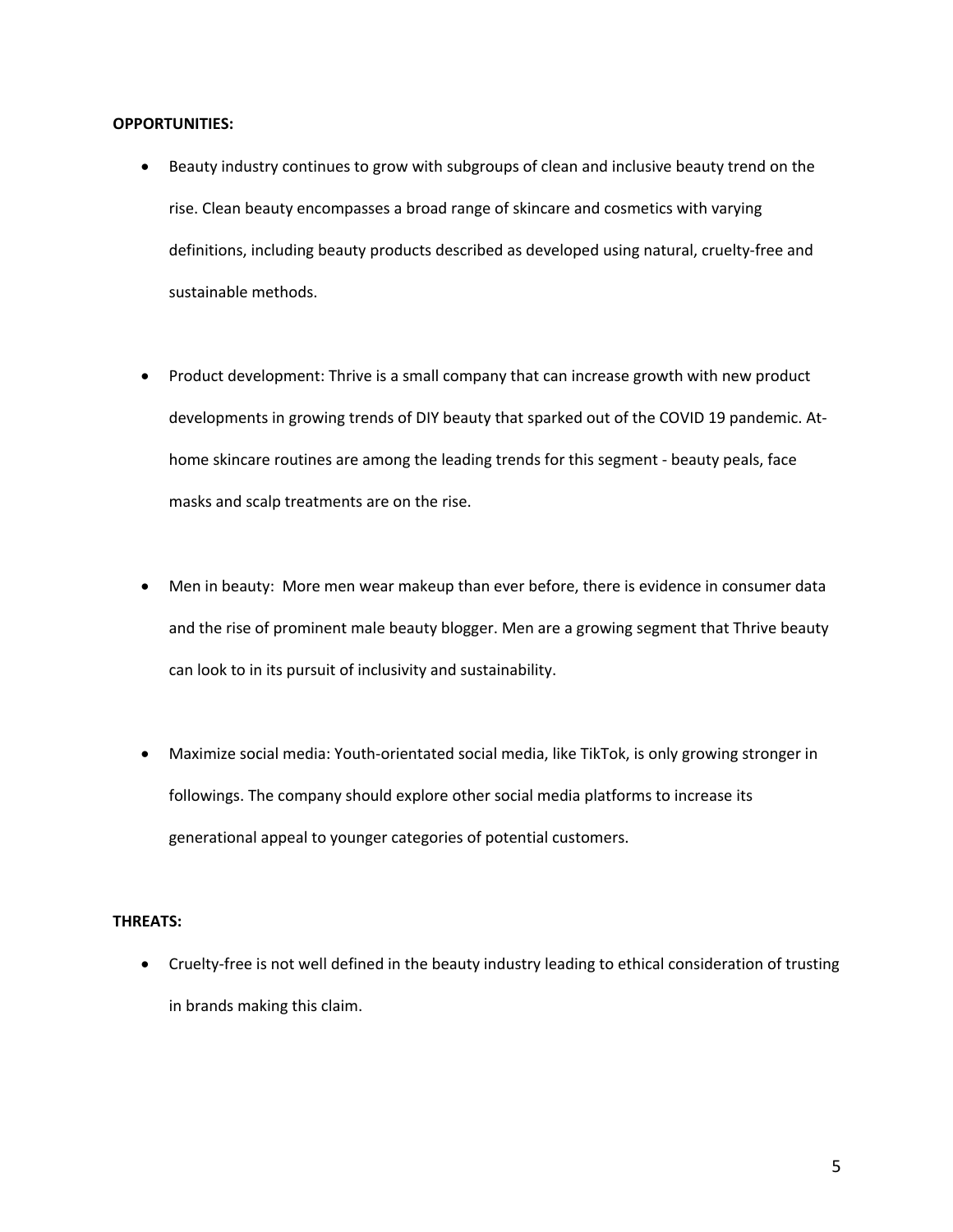#### **OPPORTUNITIES:**

- Beauty industry continues to grow with subgroups of clean and inclusive beauty trend on the rise. Clean beauty encompasses a broad range of skincare and cosmetics with varying definitions, including beauty products described as developed using natural, cruelty-free and sustainable methods.
- Product development: Thrive is a small company that can increase growth with new product developments in growing trends of DIY beauty that sparked out of the COVID 19 pandemic. Athome skincare routines are among the leading trends for this segment - beauty peals, face masks and scalp treatments are on the rise.
- Men in beauty: More men wear makeup than ever before, there is evidence in consumer data and the rise of prominent male beauty blogger. Men are a growing segment that Thrive beauty can look to in its pursuit of inclusivity and sustainability.
- Maximize social media: Youth-orientated social media, like TikTok, is only growing stronger in followings. The company should explore other social media platforms to increase its generational appeal to younger categories of potential customers.

#### **THREATS:**

• Cruelty-free is not well defined in the beauty industry leading to ethical consideration of trusting in brands making this claim.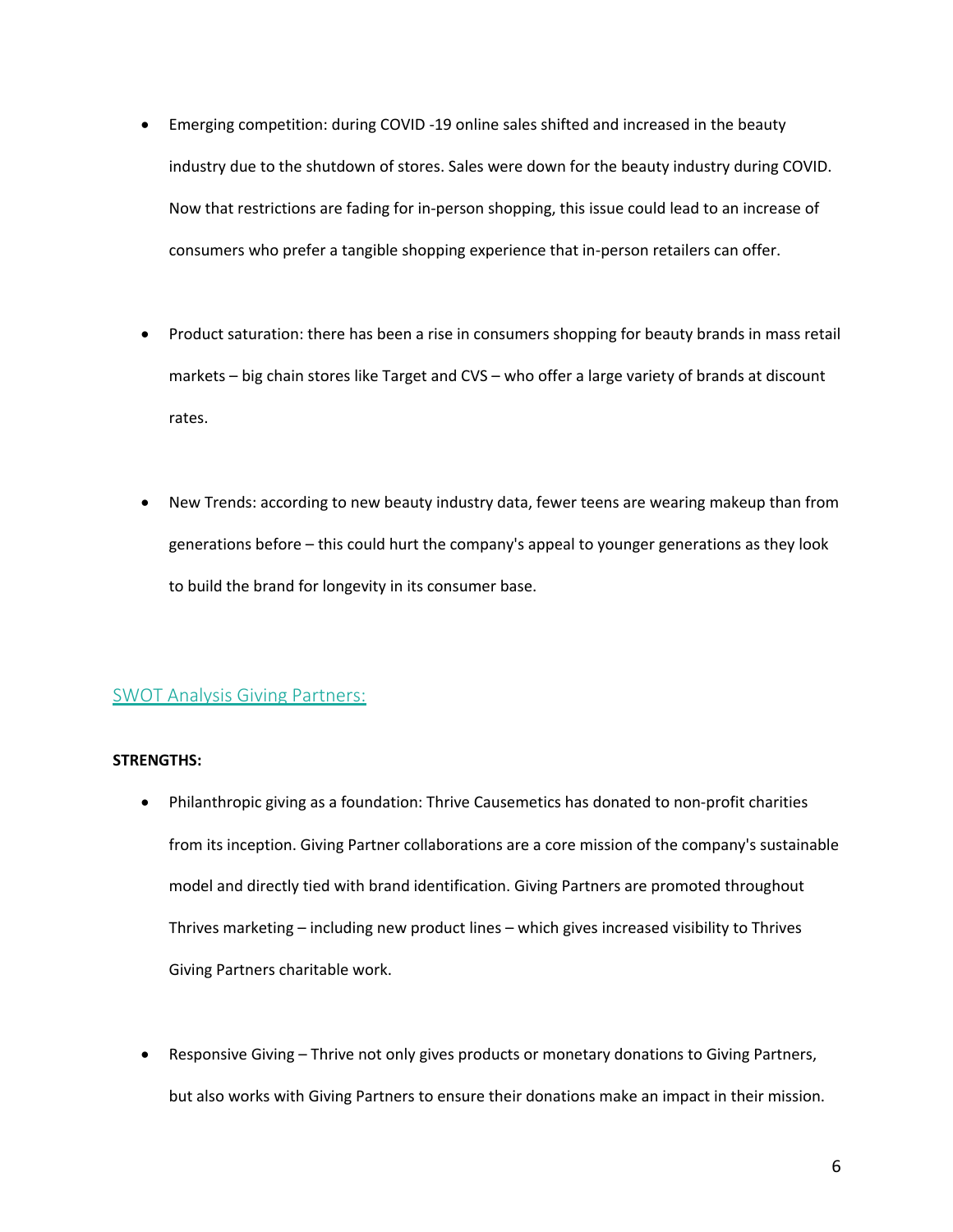- Emerging competition: during COVID -19 online sales shifted and increased in the beauty industry due to the shutdown of stores. Sales were down for the beauty industry during COVID. Now that restrictions are fading for in-person shopping, this issue could lead to an increase of consumers who prefer a tangible shopping experience that in-person retailers can offer.
- Product saturation: there has been a rise in consumers shopping for beauty brands in mass retail markets – big chain stores like Target and CVS – who offer a large variety of brands at discount rates.
- New Trends: according to new beauty industry data, fewer teens are wearing makeup than from generations before – this could hurt the company's appeal to younger generations as they look to build the brand for longevity in its consumer base.

## SWOT Analysis Giving Partners:

### **STRENGTHS:**

- Philanthropic giving as a foundation: Thrive Causemetics has donated to non-profit charities from its inception. Giving Partner collaborations are a core mission of the company's sustainable model and directly tied with brand identification. Giving Partners are promoted throughout Thrives marketing – including new product lines – which gives increased visibility to Thrives Giving Partners charitable work.
- Responsive Giving Thrive not only gives products or monetary donations to Giving Partners, but also works with Giving Partners to ensure their donations make an impact in their mission.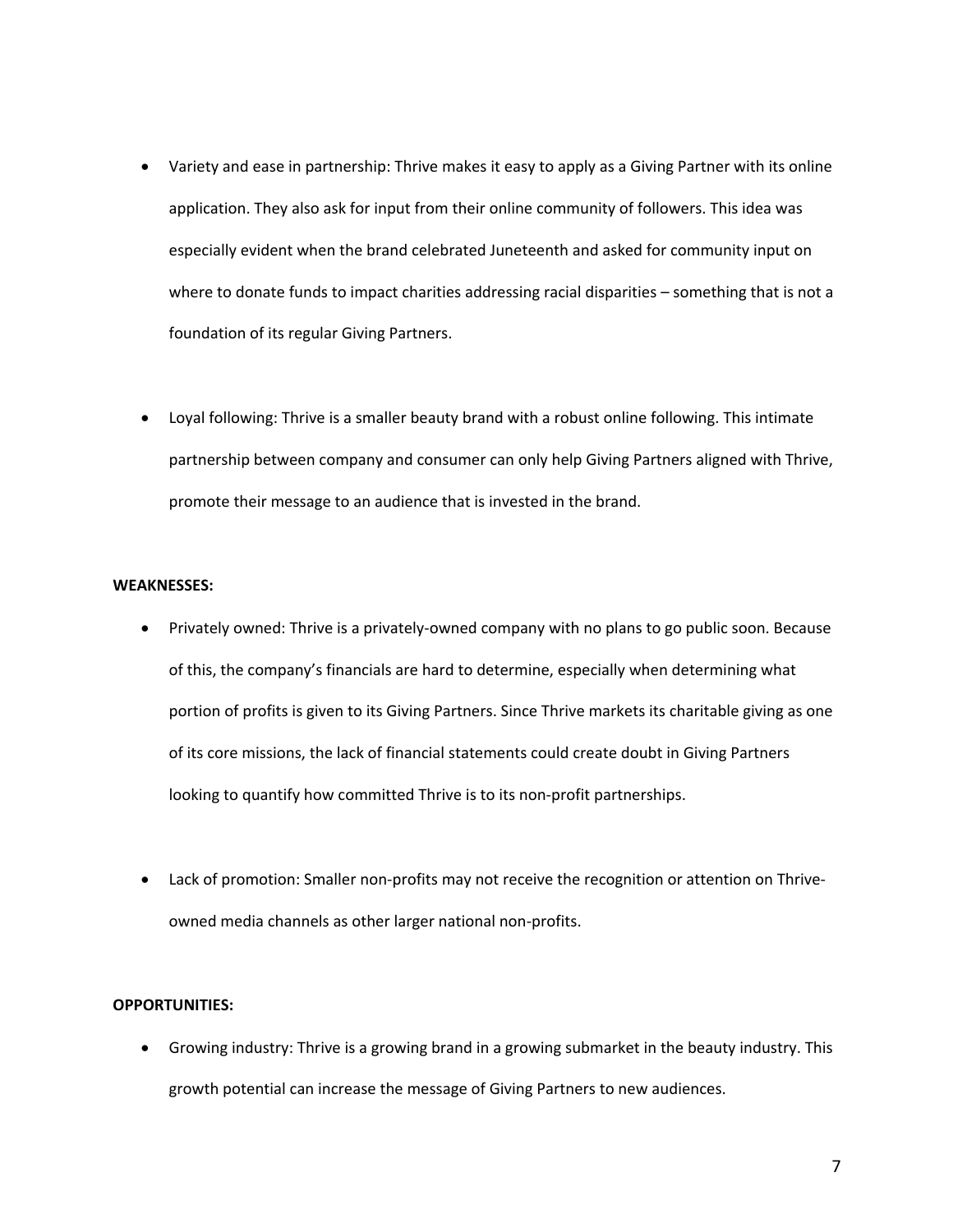- Variety and ease in partnership: Thrive makes it easy to apply as a Giving Partner with its online application. They also ask for input from their online community of followers. This idea was especially evident when the brand celebrated Juneteenth and asked for community input on where to donate funds to impact charities addressing racial disparities – something that is not a foundation of its regular Giving Partners.
- Loyal following: Thrive is a smaller beauty brand with a robust online following. This intimate partnership between company and consumer can only help Giving Partners aligned with Thrive, promote their message to an audience that is invested in the brand.

### **WEAKNESSES:**

- Privately owned: Thrive is a privately-owned company with no plans to go public soon. Because of this, the company's financials are hard to determine, especially when determining what portion of profits is given to its Giving Partners. Since Thrive markets its charitable giving as one of its core missions, the lack of financial statements could create doubt in Giving Partners looking to quantify how committed Thrive is to its non-profit partnerships.
- Lack of promotion: Smaller non-profits may not receive the recognition or attention on Thriveowned media channels as other larger national non-profits.

### **OPPORTUNITIES:**

• Growing industry: Thrive is a growing brand in a growing submarket in the beauty industry. This growth potential can increase the message of Giving Partners to new audiences.